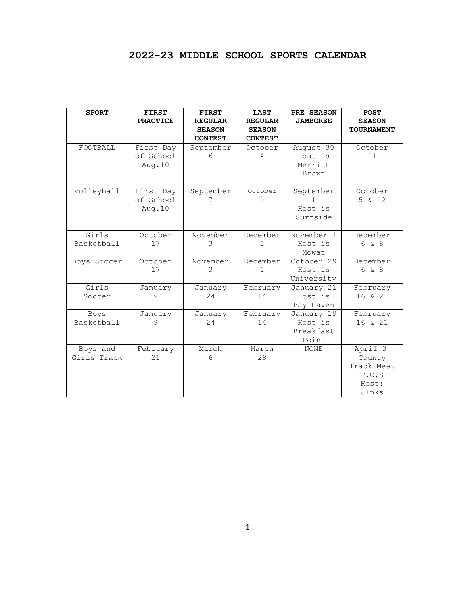# **2022-23 MIDDLE SCHOOL SPORTS CALENDAR**

| <b>SPORT</b>            | <b>FIRST</b><br><b>PRACTICE</b>   | <b>FIRST</b><br><b>REGULAR</b><br><b>SEASON</b><br><b>CONTEST</b> | <b>LAST</b><br><b>REGULAR</b><br><b>SEASON</b><br><b>CONTEST</b> | PRE SEASON<br><b>JAMBOREE</b>                      | <b>POST</b><br><b>SEASON</b><br><b>TOURNAMENT</b>          |
|-------------------------|-----------------------------------|-------------------------------------------------------------------|------------------------------------------------------------------|----------------------------------------------------|------------------------------------------------------------|
| FOOTBALL                | First Day<br>of School<br>Aug. 10 | September<br>6                                                    | October<br>4                                                     | August 30<br>Host is<br>Merritt<br>Brown           | October<br>11                                              |
| Volleyball              | First Day<br>of School<br>Aug. 10 | September                                                         | October<br>२                                                     | September<br>Host is<br>Surfside                   | October<br>5 & 12                                          |
| Girls<br>Basketball     | October<br>17                     | November<br>3                                                     | December<br>1                                                    | November 1<br>Host is<br>Mowat                     | December<br>6 & 8                                          |
| Boys Soccer             | October<br>17                     | November<br>3                                                     | December<br>1                                                    | October 29<br>Host is<br>University                | December<br>6 & 8                                          |
| Girls<br>Soccer         | January<br>9                      | January<br>24                                                     | February<br>14                                                   | January 21<br>Host is<br>Bay Haven                 | February<br>16 & 21                                        |
| Boys<br>Basketball      | January<br>9                      | January<br>24                                                     | February<br>14                                                   | January 19<br>Host is<br><b>Breakfast</b><br>Point | February<br>16 & 21                                        |
| Boys and<br>Girls Track | February<br>21                    | March<br>6                                                        | March<br>28                                                      | <b>NONE</b>                                        | April 3<br>County<br>Track Meet<br>T.O.S<br>Host:<br>JInks |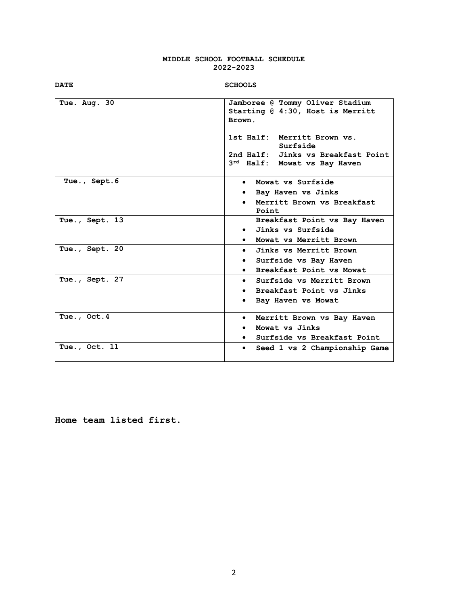#### **MIDDLE SCHOOL FOOTBALL SCHEDULE 2022-2023**

|--|

#### **DATE SCHOOLS**

| Tue. Aug. 30   | Jamboree @ Tommy Oliver Stadium<br>Starting @ 4:30, Host is Merritt<br>Brown.<br>1st Half: Merritt Brown vs.<br>Surfside<br>2nd Half: Jinks vs Breakfast Point<br>3rd Half: Mowat vs Bay Haven |
|----------------|------------------------------------------------------------------------------------------------------------------------------------------------------------------------------------------------|
| Tue., Sept.6   | • Mowat vs Surfside<br>Bay Haven vs Jinks<br>Merritt Brown vs Breakfast<br>$\bullet$<br>Point                                                                                                  |
| Tue., Sept. 13 | Breakfast Point vs Bay Haven<br>• Jinks vs Surfside<br>Mowat vs Merritt Brown<br>$\bullet$                                                                                                     |
| Tue., Sept. 20 | Jinks vs Merritt Brown<br>$\bullet$<br>Surfside vs Bay Haven<br>$\bullet$<br>Breakfast Point vs Mowat<br>$\bullet$                                                                             |
| Tue., Sept. 27 | Surfside vs Merritt Brown<br>$\bullet$<br>• Breakfast Point vs Jinks<br>Bay Haven vs Mowat                                                                                                     |
| Tue., Oct.4    | Merritt Brown vs Bay Haven<br>$\bullet$<br>Mowat vs Jinks<br>Surfside vs Breakfast Point                                                                                                       |
| Tue., Oct. 11  | Seed 1 vs 2 Championship Game<br>$\bullet$                                                                                                                                                     |

**Home team listed first.**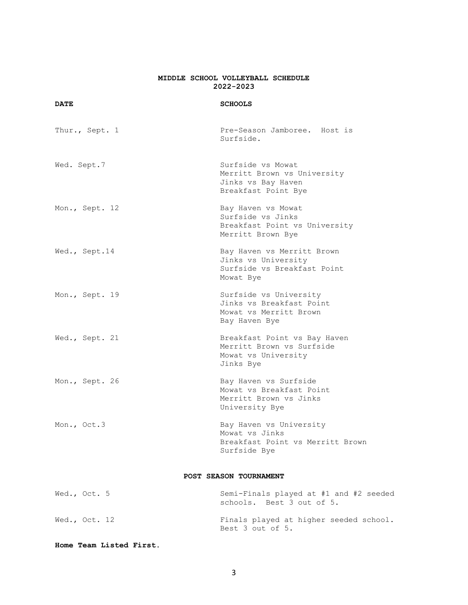#### **MIDDLE SCHOOL VOLLEYBALL SCHEDULE 2022-2023**

#### **DATE SCHOOLS**

| Thur., Sept. 1 | Pre-Season Jamboree. Host is<br>Surfside.                                                     |
|----------------|-----------------------------------------------------------------------------------------------|
| Wed. Sept.7    | Surfside vs Mowat<br>Merritt Brown vs University<br>Jinks vs Bay Haven<br>Breakfast Point Bye |
| Mon., Sept. 12 | Bay Haven vs Mowat<br>Surfside vs Jinks<br>Breakfast Point vs University<br>Merritt Brown Bye |
| Wed., Sept.14  | Bay Haven vs Merritt Brown<br>Jinks vs University<br>Surfside vs Breakfast Point<br>Mowat Bye |
| Mon., Sept. 19 | Surfside vs University<br>Jinks vs Breakfast Point<br>Mowat vs Merritt Brown<br>Bay Haven Bye |
| Wed., Sept. 21 | Breakfast Point vs Bay Haven<br>Merritt Brown vs Surfside<br>Mowat vs University<br>Jinks Bye |
| Mon., Sept. 26 | Bay Haven vs Surfside<br>Mowat vs Breakfast Point<br>Merritt Brown vs Jinks<br>University Bye |
| Mon., Oct.3    | Bay Haven vs University<br>Mowat vs Jinks<br>Breakfast Point vs Merritt Brown<br>Surfside Bye |
|                | POST SEASON TOURNAMENT                                                                        |
| Wed., Oct. 5   | Semi-Finals played at #1 and #2 seeded<br>schools. Best 3 out of 5.                           |
| Wed., Oct. 12  | Finals played at higher seeded school.                                                        |

**Home Team Listed First.**

Best 3 out of 5.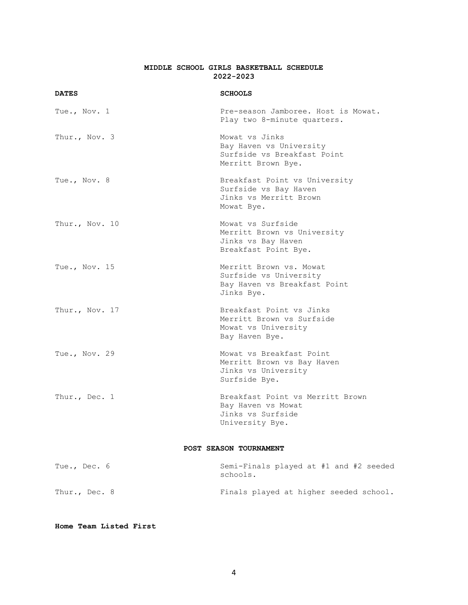#### **MIDDLE SCHOOL GIRLS BASKETBALL SCHEDULE 2022-2023**

| <b>DATES</b>    | <b>SCHOOLS</b>                                                                                  |
|-----------------|-------------------------------------------------------------------------------------------------|
| Tue., Nov. 1    | Pre-season Jamboree. Host is Mowat.<br>Play two 8-minute quarters.                              |
| Thur., Nov. 3   | Mowat vs Jinks<br>Bay Haven vs University<br>Surfside vs Breakfast Point<br>Merritt Brown Bye.  |
| Tue., Nov. 8    | Breakfast Point vs University<br>Surfside vs Bay Haven<br>Jinks vs Merritt Brown<br>Mowat Bye.  |
| Thur., Nov. 10  | Mowat vs Surfside<br>Merritt Brown vs University<br>Jinks vs Bay Haven<br>Breakfast Point Bye.  |
| Tue., Nov. $15$ | Merritt Brown vs. Mowat<br>Surfside vs University<br>Bay Haven vs Breakfast Point<br>Jinks Bye. |
| Thur., Nov. 17  | Breakfast Point vs Jinks<br>Merritt Brown vs Surfside<br>Mowat vs University<br>Bay Haven Bye.  |
| Tue., Nov. 29   | Mowat vs Breakfast Point<br>Merritt Brown vs Bay Haven<br>Jinks vs University<br>Surfside Bye.  |
| Thur., Dec. 1   | Breakfast Point vs Merritt Brown<br>Bay Haven vs Mowat<br>Jinks vs Surfside<br>University Bye.  |
|                 | POST SEASON TOURNAMENT                                                                          |
| Tue., Dec. 6    | Semi-Finals played at #1 and #2 seeded<br>schools.                                              |
| Thur., Dec. 8   | Finals played at higher seeded school.                                                          |

**Home Team Listed First**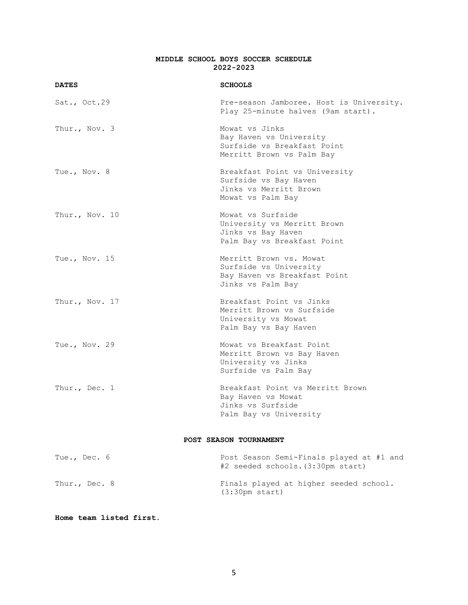#### **MIDDLE SCHOOL BOYS SOCCER SCHEDULE 2022-2023**

| <b>DATES</b>    | <b>SCHOOLS</b>                                                                                         |
|-----------------|--------------------------------------------------------------------------------------------------------|
| Sat., Oct.29    | Pre-season Jamboree. Host is University.<br>Play 25-minute halves (9am start).                         |
| Thur., Nov. 3   | Mowat vs Jinks<br>Bay Haven vs University<br>Surfside vs Breakfast Point<br>Merritt Brown vs Palm Bay  |
| Tue., Nov. 8    | Breakfast Point vs University<br>Surfside vs Bay Haven<br>Jinks vs Merritt Brown<br>Mowat vs Palm Bay  |
| Thur., Nov. 10  | Mowat vs Surfside<br>University vs Merritt Brown<br>Jinks vs Bay Haven<br>Palm Bay vs Breakfast Point  |
| Tue., Nov. $15$ | Merritt Brown vs. Mowat<br>Surfside vs University<br>Bay Haven vs Breakfast Point<br>Jinks vs Palm Bay |
| Thur., Nov. 17  | Breakfast Point vs Jinks<br>Merritt Brown vs Surfside<br>University vs Mowat<br>Palm Bay vs Bay Haven  |
| Tue., Nov. 29   | Mowat vs Breakfast Point<br>Merritt Brown vs Bay Haven<br>University vs Jinks<br>Surfside vs Palm Bay  |
| Thur., Dec. 1   | Breakfast Point vs Merritt Brown<br>Bay Haven vs Mowat<br>Jinks vs Surfside<br>Palm Bay vs University  |
|                 | POST SEASON TOURNAMENT                                                                                 |
| Tue., Dec. 6    | Post Season Semi-Finals played at #1 and<br>#2 seeded schools. (3:30pm start)                          |
| Thur., Dec. 8   | Finals played at higher seeded school.                                                                 |

**Home team listed first.**

(3:30pm start)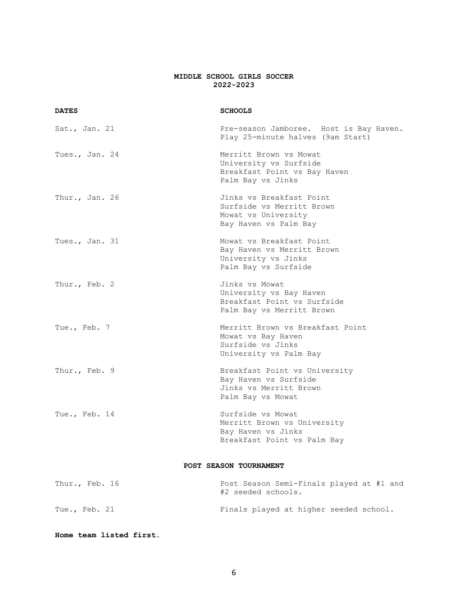### **MIDDLE SCHOOL GIRLS SOCCER 2022-2023**

| <b>DATES</b>   | <b>SCHOOLS</b>                                                                                        |
|----------------|-------------------------------------------------------------------------------------------------------|
| Sat., Jan. 21  | Pre-season Jamboree. Host is Bay Haven.<br>Play 25-minute halves (9am Start)                          |
| Tues., Jan. 24 | Merritt Brown vs Mowat<br>University vs Surfside<br>Breakfast Point vs Bay Haven<br>Palm Bay vs Jinks |
| Thur., Jan. 26 | Jinks vs Breakfast Point<br>Surfside vs Merritt Brown<br>Mowat vs University<br>Bay Haven vs Palm Bay |
| Tues., Jan. 31 | Mowat vs Breakfast Point<br>Bay Haven vs Merritt Brown<br>University vs Jinks<br>Palm Bay vs Surfside |
| Thur., Feb. 2  | Jinks vs Mowat<br>University vs Bay Haven<br>Breakfast Point vs Surfside<br>Palm Bay vs Merritt Brown |
| Tue., Feb. 7   | Merritt Brown vs Breakfast Point<br>Mowat vs Bay Haven<br>Surfside vs Jinks<br>University vs Palm Bay |
| Thur., Feb. 9  | Breakfast Point vs University<br>Bay Haven vs Surfside<br>Jinks vs Merritt Brown<br>Palm Bay vs Mowat |
| Tue., Feb. 14  | Surfside vs Mowat<br>Merritt Brown vs University<br>Bay Haven vs Jinks<br>Breakfast Point vs Palm Bay |
|                | POST SEASON TOURNAMENT                                                                                |
| Thur., Feb. 16 | Post Season Semi-Finals played at #1 and<br>#2 seeded schools.                                        |
| Tue., Feb. 21  | Finals played at higher seeded school.                                                                |

## **Home team listed first.**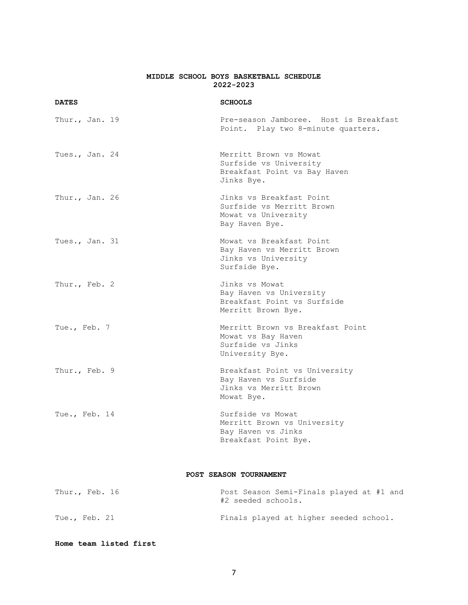#### **MIDDLE SCHOOL BOYS BASKETBALL SCHEDULE 2022-2023**

| <b>DATES</b>   | <b>SCHOOLS</b>                                                                                 |
|----------------|------------------------------------------------------------------------------------------------|
| Thur., Jan. 19 | Pre-season Jamboree. Host is Breakfast<br>Point. Play two 8-minute quarters.                   |
| Tues., Jan. 24 | Merritt Brown vs Mowat<br>Surfside vs University<br>Breakfast Point vs Bay Haven<br>Jinks Bye. |
| Thur., Jan. 26 | Jinks vs Breakfast Point<br>Surfside vs Merritt Brown<br>Mowat vs University<br>Bay Haven Bye. |
| Tues., Jan. 31 | Mowat vs Breakfast Point<br>Bay Haven vs Merritt Brown<br>Jinks vs University<br>Surfside Bye. |
| Thur., Feb. 2  | Jinks vs Mowat<br>Bay Haven vs University<br>Breakfast Point vs Surfside<br>Merritt Brown Bye. |
| Tue., Feb. 7   | Merritt Brown vs Breakfast Point<br>Mowat vs Bay Haven<br>Surfside vs Jinks<br>University Bye. |
| Thur., Feb. 9  | Breakfast Point vs University<br>Bay Haven vs Surfside<br>Jinks vs Merritt Brown<br>Mowat Bye. |
| Tue., Feb. 14  | Surfside vs Mowat<br>Merritt Brown vs University<br>Bay Haven vs Jinks<br>Breakfast Point Bye. |
|                | POST SEASON TOURNAMENT                                                                         |

Thur., Feb. 16 **Post Season Semi-Finals played at #1 and** #2 seeded schools. Tue., Feb. 21 **Finals** played at higher seeded school.

**Home team listed first**